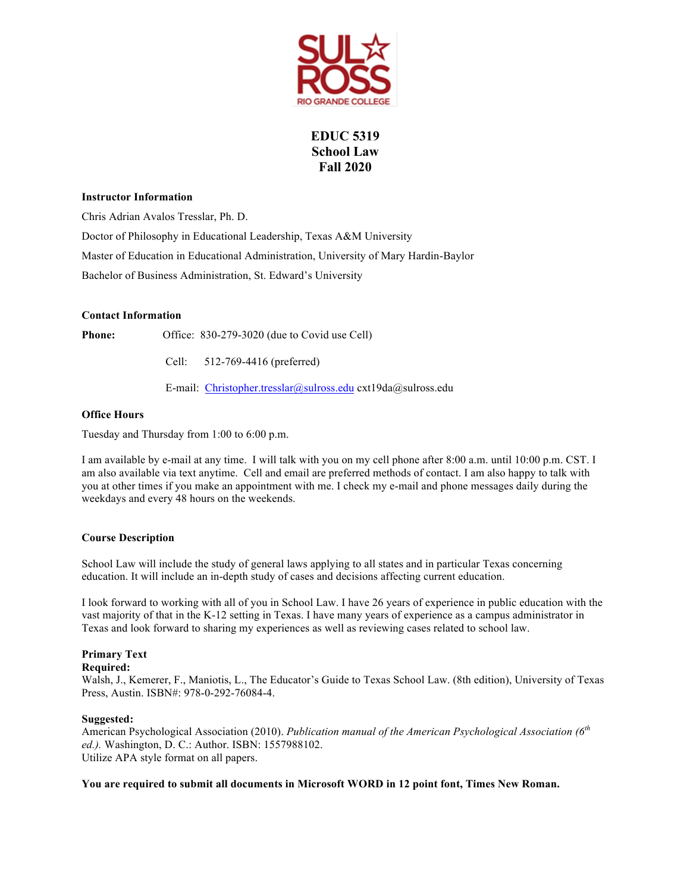

# **EDUC 5319 School Law Fall 2020**

## **Instructor Information**

Chris Adrian Avalos Tresslar, Ph. D.

Doctor of Philosophy in Educational Leadership, Texas A&M University Master of Education in Educational Administration, University of Mary Hardin-Baylor Bachelor of Business Administration, St. Edward's University

## **Contact Information**

Phone: Office: 830-279-3020 (due to Covid use Cell)

Cell: 512-769-4416 (preferred)

E-mail: Christopher.tresslar@sulross.edu cxt19da@sulross.edu

## **Office Hours**

Tuesday and Thursday from 1:00 to 6:00 p.m.

I am available by e-mail at any time. I will talk with you on my cell phone after 8:00 a.m. until 10:00 p.m. CST. I am also available via text anytime. Cell and email are preferred methods of contact. I am also happy to talk with you at other times if you make an appointment with me. I check my e-mail and phone messages daily during the weekdays and every 48 hours on the weekends.

## **Course Description**

School Law will include the study of general laws applying to all states and in particular Texas concerning education. It will include an in-depth study of cases and decisions affecting current education.

I look forward to working with all of you in School Law. I have 26 years of experience in public education with the vast majority of that in the K-12 setting in Texas. I have many years of experience as a campus administrator in Texas and look forward to sharing my experiences as well as reviewing cases related to school law.

## **Primary Text**

## **Required:**

Walsh, J., Kemerer, F., Maniotis, L., The Educator's Guide to Texas School Law. (8th edition), University of Texas Press, Austin. ISBN#: 978-0-292-76084-4.

## **Suggested:**

American Psychological Association (2010). *Publication manual of the American Psychological Association (6th ed.).* Washington, D. C.: Author. ISBN: 1557988102. Utilize APA style format on all papers.

## **You are required to submit all documents in Microsoft WORD in 12 point font, Times New Roman.**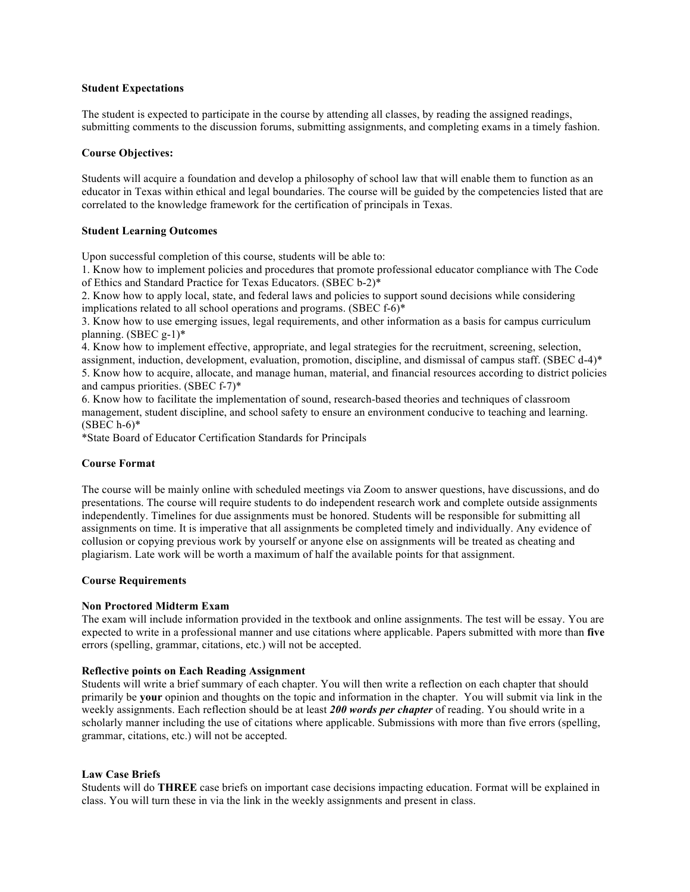### **Student Expectations**

The student is expected to participate in the course by attending all classes, by reading the assigned readings, submitting comments to the discussion forums, submitting assignments, and completing exams in a timely fashion.

## **Course Objectives:**

Students will acquire a foundation and develop a philosophy of school law that will enable them to function as an educator in Texas within ethical and legal boundaries. The course will be guided by the competencies listed that are correlated to the knowledge framework for the certification of principals in Texas.

## **Student Learning Outcomes**

Upon successful completion of this course, students will be able to:

1. Know how to implement policies and procedures that promote professional educator compliance with The Code of Ethics and Standard Practice for Texas Educators. (SBEC b-2)\*

2. Know how to apply local, state, and federal laws and policies to support sound decisions while considering implications related to all school operations and programs. (SBEC f-6)\*

3. Know how to use emerging issues, legal requirements, and other information as a basis for campus curriculum planning. (SBEC g-1)\*

4. Know how to implement effective, appropriate, and legal strategies for the recruitment, screening, selection, assignment, induction, development, evaluation, promotion, discipline, and dismissal of campus staff. (SBEC d-4)\* 5. Know how to acquire, allocate, and manage human, material, and financial resources according to district policies and campus priorities. (SBEC f-7)\*

6. Know how to facilitate the implementation of sound, research-based theories and techniques of classroom management, student discipline, and school safety to ensure an environment conducive to teaching and learning.  $(SBEC h-6)*$ 

\*State Board of Educator Certification Standards for Principals

#### **Course Format**

The course will be mainly online with scheduled meetings via Zoom to answer questions, have discussions, and do presentations. The course will require students to do independent research work and complete outside assignments independently. Timelines for due assignments must be honored. Students will be responsible for submitting all assignments on time. It is imperative that all assignments be completed timely and individually. Any evidence of collusion or copying previous work by yourself or anyone else on assignments will be treated as cheating and plagiarism. Late work will be worth a maximum of half the available points for that assignment.

#### **Course Requirements**

## **Non Proctored Midterm Exam**

The exam will include information provided in the textbook and online assignments. The test will be essay. You are expected to write in a professional manner and use citations where applicable. Papers submitted with more than **five** errors (spelling, grammar, citations, etc.) will not be accepted.

#### **Reflective points on Each Reading Assignment**

Students will write a brief summary of each chapter. You will then write a reflection on each chapter that should primarily be **your** opinion and thoughts on the topic and information in the chapter. You will submit via link in the weekly assignments. Each reflection should be at least *200 words per chapter* of reading. You should write in a scholarly manner including the use of citations where applicable. Submissions with more than five errors (spelling, grammar, citations, etc.) will not be accepted.

## **Law Case Briefs**

Students will do **THREE** case briefs on important case decisions impacting education. Format will be explained in class. You will turn these in via the link in the weekly assignments and present in class.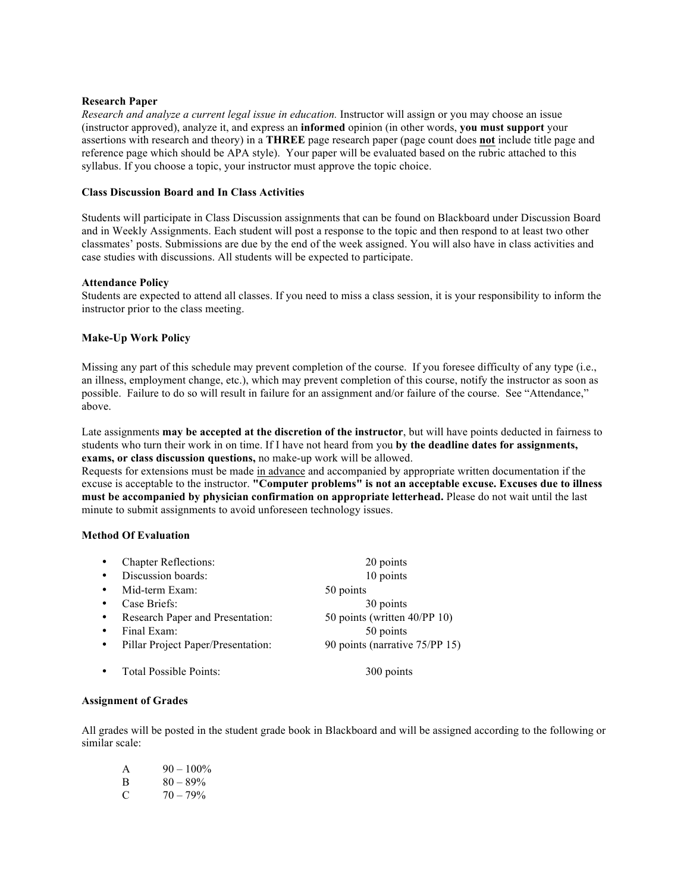## **Research Paper**

*Research and analyze a current legal issue in education.* Instructor will assign or you may choose an issue (instructor approved), analyze it, and express an **informed** opinion (in other words, **you must support** your assertions with research and theory) in a **THREE** page research paper (page count does **not** include title page and reference page which should be APA style). Your paper will be evaluated based on the rubric attached to this syllabus. If you choose a topic, your instructor must approve the topic choice.

## **Class Discussion Board and In Class Activities**

Students will participate in Class Discussion assignments that can be found on Blackboard under Discussion Board and in Weekly Assignments. Each student will post a response to the topic and then respond to at least two other classmates' posts. Submissions are due by the end of the week assigned. You will also have in class activities and case studies with discussions. All students will be expected to participate.

## **Attendance Policy**

Students are expected to attend all classes. If you need to miss a class session, it is your responsibility to inform the instructor prior to the class meeting.

## **Make-Up Work Policy**

Missing any part of this schedule may prevent completion of the course. If you foresee difficulty of any type (i.e., an illness, employment change, etc.), which may prevent completion of this course, notify the instructor as soon as possible. Failure to do so will result in failure for an assignment and/or failure of the course. See "Attendance," above.

Late assignments **may be accepted at the discretion of the instructor**, but will have points deducted in fairness to students who turn their work in on time. If I have not heard from you **by the deadline dates for assignments, exams, or class discussion questions,** no make-up work will be allowed.

Requests for extensions must be made in advance and accompanied by appropriate written documentation if the excuse is acceptable to the instructor. **"Computer problems" is not an acceptable excuse. Excuses due to illness must be accompanied by physician confirmation on appropriate letterhead.** Please do not wait until the last minute to submit assignments to avoid unforeseen technology issues.

## **Method Of Evaluation**

| $\bullet$ | <b>Chapter Reflections:</b>        | 20 points                      |
|-----------|------------------------------------|--------------------------------|
| $\bullet$ | Discussion boards:                 | 10 points                      |
| $\bullet$ | Mid-term Exam:                     | 50 points                      |
| $\bullet$ | Case Briefs:                       | 30 points                      |
| $\bullet$ | Research Paper and Presentation:   | 50 points (written 40/PP 10)   |
| $\bullet$ | Final Exam:                        | 50 points                      |
| $\bullet$ | Pillar Project Paper/Presentation: | 90 points (narrative 75/PP 15) |
|           | Total Possible Points:             | 300 points                     |

## **Assignment of Grades**

All grades will be posted in the student grade book in Blackboard and will be assigned according to the following or similar scale:

| A  | $90 - 100\%$ |
|----|--------------|
| В. | $80 - 89\%$  |
| C  | $70 - 79\%$  |